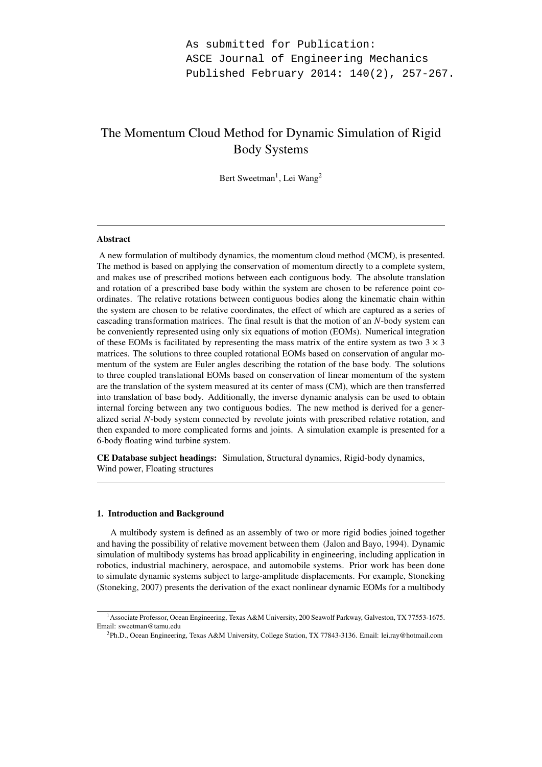# The Momentum Cloud Method for Dynamic Simulation of Rigid Body Systems

Bert Sweetman<sup>1</sup>, Lei Wang<sup>2</sup>

## Abstract

A new formulation of multibody dynamics, the momentum cloud method (MCM), is presented. The method is based on applying the conservation of momentum directly to a complete system, and makes use of prescribed motions between each contiguous body. The absolute translation and rotation of a prescribed base body within the system are chosen to be reference point coordinates. The relative rotations between contiguous bodies along the kinematic chain within the system are chosen to be relative coordinates, the effect of which are captured as a series of cascading transformation matrices. The final result is that the motion of an *N*-body system can be conveniently represented using only six equations of motion (EOMs). Numerical integration of these EOMs is facilitated by representing the mass matrix of the entire system as two  $3 \times 3$ matrices. The solutions to three coupled rotational EOMs based on conservation of angular momentum of the system are Euler angles describing the rotation of the base body. The solutions to three coupled translational EOMs based on conservation of linear momentum of the system are the translation of the system measured at its center of mass (CM), which are then transferred into translation of base body. Additionally, the inverse dynamic analysis can be used to obtain internal forcing between any two contiguous bodies. The new method is derived for a generalized serial *N*-body system connected by revolute joints with prescribed relative rotation, and then expanded to more complicated forms and joints. A simulation example is presented for a 6-body floating wind turbine system.

CE Database subject headings: Simulation, Structural dynamics, Rigid-body dynamics, Wind power, Floating structures

# 1. Introduction and Background

A multibody system is defined as an assembly of two or more rigid bodies joined together and having the possibility of relative movement between them (Jalon and Bayo, 1994). Dynamic simulation of multibody systems has broad applicability in engineering, including application in robotics, industrial machinery, aerospace, and automobile systems. Prior work has been done to simulate dynamic systems subject to large-amplitude displacements. For example, Stoneking (Stoneking, 2007) presents the derivation of the exact nonlinear dynamic EOMs for a multibody

<sup>1</sup>Associate Professor, Ocean Engineering, Texas A&M University, 200 Seawolf Parkway, Galveston, TX 77553-1675. Email: sweetman@tamu.edu

<sup>2</sup>Ph.D., Ocean Engineering, Texas A&M University, College Station, TX 77843-3136. Email: lei.ray@hotmail.com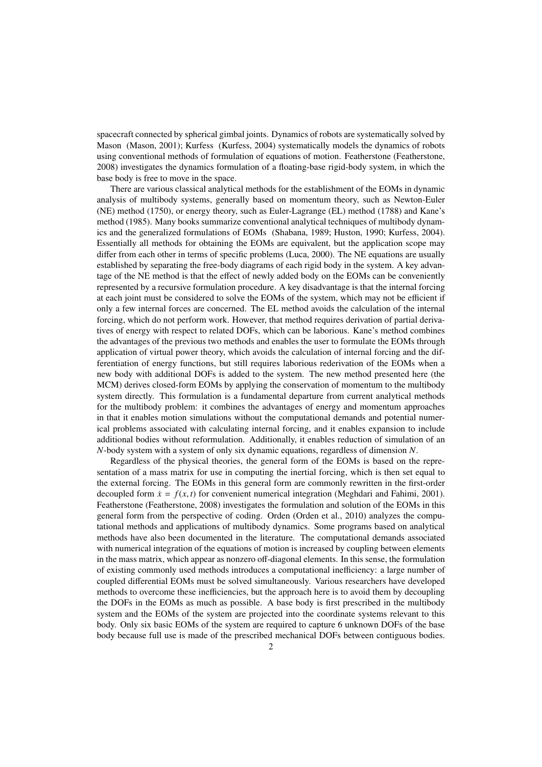spacecraft connected by spherical gimbal joints. Dynamics of robots are systematically solved by Mason (Mason, 2001); Kurfess (Kurfess, 2004) systematically models the dynamics of robots using conventional methods of formulation of equations of motion. Featherstone (Featherstone, 2008) investigates the dynamics formulation of a floating-base rigid-body system, in which the base body is free to move in the space.

There are various classical analytical methods for the establishment of the EOMs in dynamic analysis of multibody systems, generally based on momentum theory, such as Newton-Euler (NE) method (1750), or energy theory, such as Euler-Lagrange (EL) method (1788) and Kane's method (1985). Many books summarize conventional analytical techniques of multibody dynamics and the generalized formulations of EOMs (Shabana, 1989; Huston, 1990; Kurfess, 2004). Essentially all methods for obtaining the EOMs are equivalent, but the application scope may differ from each other in terms of specific problems (Luca, 2000). The NE equations are usually established by separating the free-body diagrams of each rigid body in the system. A key advantage of the NE method is that the effect of newly added body on the EOMs can be conveniently represented by a recursive formulation procedure. A key disadvantage is that the internal forcing at each joint must be considered to solve the EOMs of the system, which may not be efficient if only a few internal forces are concerned. The EL method avoids the calculation of the internal forcing, which do not perform work. However, that method requires derivation of partial derivatives of energy with respect to related DOFs, which can be laborious. Kane's method combines the advantages of the previous two methods and enables the user to formulate the EOMs through application of virtual power theory, which avoids the calculation of internal forcing and the differentiation of energy functions, but still requires laborious rederivation of the EOMs when a new body with additional DOFs is added to the system. The new method presented here (the MCM) derives closed-form EOMs by applying the conservation of momentum to the multibody system directly. This formulation is a fundamental departure from current analytical methods for the multibody problem: it combines the advantages of energy and momentum approaches in that it enables motion simulations without the computational demands and potential numerical problems associated with calculating internal forcing, and it enables expansion to include additional bodies without reformulation. Additionally, it enables reduction of simulation of an *N*-body system with a system of only six dynamic equations, regardless of dimension *N*.

Regardless of the physical theories, the general form of the EOMs is based on the representation of a mass matrix for use in computing the inertial forcing, which is then set equal to the external forcing. The EOMs in this general form are commonly rewritten in the first-order decoupled form  $\dot{x} = f(x, t)$  for convenient numerical integration (Meghdari and Fahimi, 2001). Featherstone (Featherstone, 2008) investigates the formulation and solution of the EOMs in this general form from the perspective of coding. Orden (Orden et al., 2010) analyzes the computational methods and applications of multibody dynamics. Some programs based on analytical methods have also been documented in the literature. The computational demands associated with numerical integration of the equations of motion is increased by coupling between elements in the mass matrix, which appear as nonzero off-diagonal elements. In this sense, the formulation of existing commonly used methods introduces a computational inefficiency: a large number of coupled differential EOMs must be solved simultaneously. Various researchers have developed methods to overcome these inefficiencies, but the approach here is to avoid them by decoupling the DOFs in the EOMs as much as possible. A base body is first prescribed in the multibody system and the EOMs of the system are projected into the coordinate systems relevant to this body. Only six basic EOMs of the system are required to capture 6 unknown DOFs of the base body because full use is made of the prescribed mechanical DOFs between contiguous bodies.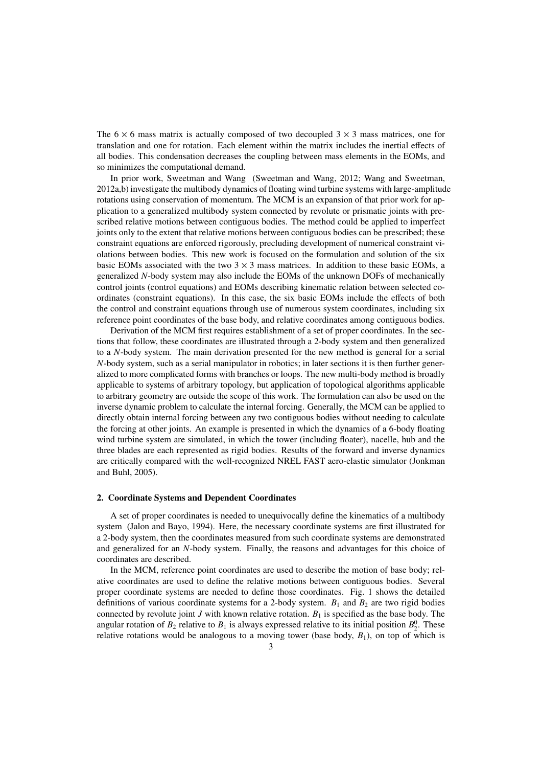The  $6 \times 6$  mass matrix is actually composed of two decoupled  $3 \times 3$  mass matrices, one for translation and one for rotation. Each element within the matrix includes the inertial effects of all bodies. This condensation decreases the coupling between mass elements in the EOMs, and so minimizes the computational demand.

In prior work, Sweetman and Wang (Sweetman and Wang, 2012; Wang and Sweetman, 2012a,b) investigate the multibody dynamics of floating wind turbine systems with large-amplitude rotations using conservation of momentum. The MCM is an expansion of that prior work for application to a generalized multibody system connected by revolute or prismatic joints with prescribed relative motions between contiguous bodies. The method could be applied to imperfect joints only to the extent that relative motions between contiguous bodies can be prescribed; these constraint equations are enforced rigorously, precluding development of numerical constraint violations between bodies. This new work is focused on the formulation and solution of the six basic EOMs associated with the two  $3 \times 3$  mass matrices. In addition to these basic EOMs, a generalized *N*-body system may also include the EOMs of the unknown DOFs of mechanically control joints (control equations) and EOMs describing kinematic relation between selected coordinates (constraint equations). In this case, the six basic EOMs include the effects of both the control and constraint equations through use of numerous system coordinates, including six reference point coordinates of the base body, and relative coordinates among contiguous bodies.

Derivation of the MCM first requires establishment of a set of proper coordinates. In the sections that follow, these coordinates are illustrated through a 2-body system and then generalized to a *N*-body system. The main derivation presented for the new method is general for a serial *N*-body system, such as a serial manipulator in robotics; in later sections it is then further generalized to more complicated forms with branches or loops. The new multi-body method is broadly applicable to systems of arbitrary topology, but application of topological algorithms applicable to arbitrary geometry are outside the scope of this work. The formulation can also be used on the inverse dynamic problem to calculate the internal forcing. Generally, the MCM can be applied to directly obtain internal forcing between any two contiguous bodies without needing to calculate the forcing at other joints. An example is presented in which the dynamics of a 6-body floating wind turbine system are simulated, in which the tower (including floater), nacelle, hub and the three blades are each represented as rigid bodies. Results of the forward and inverse dynamics are critically compared with the well-recognized NREL FAST aero-elastic simulator (Jonkman and Buhl, 2005).

## 2. Coordinate Systems and Dependent Coordinates

A set of proper coordinates is needed to unequivocally define the kinematics of a multibody system (Jalon and Bayo, 1994). Here, the necessary coordinate systems are first illustrated for a 2-body system, then the coordinates measured from such coordinate systems are demonstrated and generalized for an *N*-body system. Finally, the reasons and advantages for this choice of coordinates are described.

In the MCM, reference point coordinates are used to describe the motion of base body; relative coordinates are used to define the relative motions between contiguous bodies. Several proper coordinate systems are needed to define those coordinates. Fig. 1 shows the detailed definitions of various coordinate systems for a 2-body system.  $B_1$  and  $B_2$  are two rigid bodies connected by revolute joint  $J$  with known relative rotation.  $B_1$  is specified as the base body. The angular rotation of  $B_2$  relative to  $B_1$  is always expressed relative to its initial position  $B_2^0$ . These relative rotations would be analogous to a moving tower (base body,  $B_1$ ), on top of which is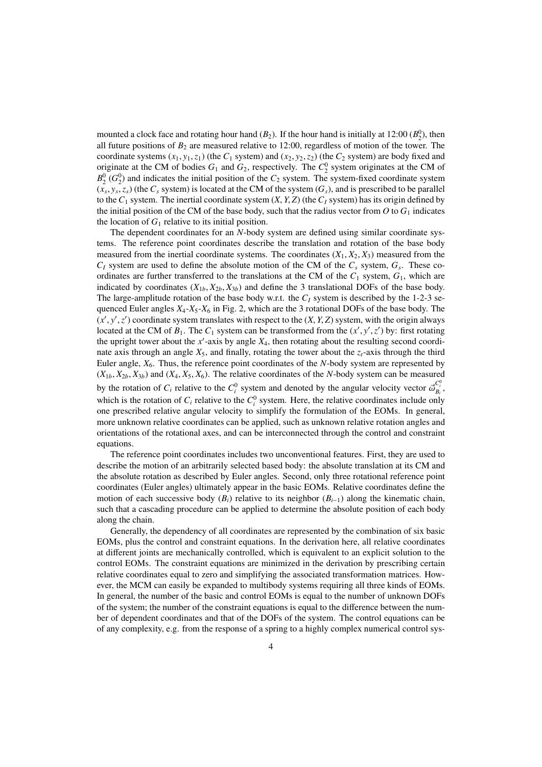mounted a clock face and rotating hour hand  $(B_2)$ . If the hour hand is initially at 12:00  $(B_2^0)$ , then all future positions of  $B_2$  are measured relative to 12:00, regardless of motion of the tower. The coordinate systems  $(x_1, y_1, z_1)$  (the  $C_1$  system) and  $(x_2, y_2, z_2)$  (the  $C_2$  system) are body fixed and originate at the CM of bodies  $G_1$  and  $G_2$ , respectively. The  $C_2^0$  system originates at the CM of  $B_2^0$  ( $G_2^0$ ) and indicates the initial position of the  $C_2$  system. The system-fixed coordinate system  $(x_s, y_s, z_s)$  (the  $C_s$  system) is located at the CM of the system  $(G_s)$ , and is prescribed to be parallel to the  $C_1$  system. The inertial coordinate system  $(X, Y, Z)$  (the  $C_I$  system) has its origin defined by the initial position of the CM of the base body, such that the radius vector from  $O$  to  $G_1$  indicates the location of  $G_1$  relative to its initial position.

The dependent coordinates for an *N*-body system are defined using similar coordinate systems. The reference point coordinates describe the translation and rotation of the base body measured from the inertial coordinate systems. The coordinates  $(X_1, X_2, X_3)$  measured from the  $C_I$  system are used to define the absolute motion of the CM of the  $C_s$  system,  $G_s$ . These coordinates are further transferred to the translations at the CM of the  $C_1$  system,  $G_1$ , which are indicated by coordinates  $(X_{1b}, X_{2b}, X_{3b})$  and define the 3 translational DOFs of the base body. The large-amplitude rotation of the base body w.r.t. the  $C_I$  system is described by the 1-2-3 sequenced Euler angles  $X_4$ - $X_5$ - $X_6$  in Fig. 2, which are the 3 rotational DOFs of the base body. The  $(x', y', z')$  coordinate system translates with respect to the  $(X, Y, Z)$  system, with the origin always located at the CM of  $B_1$ . The  $C_1$  system can be transformed from the  $(x', y', z')$  by: first rotating the upright tower about the  $x'$ -axis by angle  $X_4$ , then rotating about the resulting second coordinate axis through an angle  $X_5$ , and finally, rotating the tower about the  $z_t$ -axis through the third Euler angle,  $X_6$ . Thus, the reference point coordinates of the *N*-body system are represented by  $(X_{1b}, X_{2b}, X_{3b})$  and  $(X_4, X_5, X_6)$ . The relative coordinates of the *N*-body system can be measured by the rotation of  $C_i$  relative to the  $C_i^0$  system and denoted by the angular velocity vector  $\vec{\omega}_{B_i}^{C_i^0}$ , which is the rotation of  $C_i$  relative to the  $C_i^0$  system. Here, the relative coordinates include only one prescribed relative angular velocity to simplify the formulation of the EOMs. In general, more unknown relative coordinates can be applied, such as unknown relative rotation angles and orientations of the rotational axes, and can be interconnected through the control and constraint equations.

The reference point coordinates includes two unconventional features. First, they are used to describe the motion of an arbitrarily selected based body: the absolute translation at its CM and the absolute rotation as described by Euler angles. Second, only three rotational reference point coordinates (Euler angles) ultimately appear in the basic EOMs. Relative coordinates define the motion of each successive body  $(B_i)$  relative to its neighbor  $(B_{i-1})$  along the kinematic chain, such that a cascading procedure can be applied to determine the absolute position of each body along the chain.

Generally, the dependency of all coordinates are represented by the combination of six basic EOMs, plus the control and constraint equations. In the derivation here, all relative coordinates at different joints are mechanically controlled, which is equivalent to an explicit solution to the control EOMs. The constraint equations are minimized in the derivation by prescribing certain relative coordinates equal to zero and simplifying the associated transformation matrices. However, the MCM can easily be expanded to multibody systems requiring all three kinds of EOMs. In general, the number of the basic and control EOMs is equal to the number of unknown DOFs of the system; the number of the constraint equations is equal to the difference between the number of dependent coordinates and that of the DOFs of the system. The control equations can be of any complexity, e.g. from the response of a spring to a highly complex numerical control sys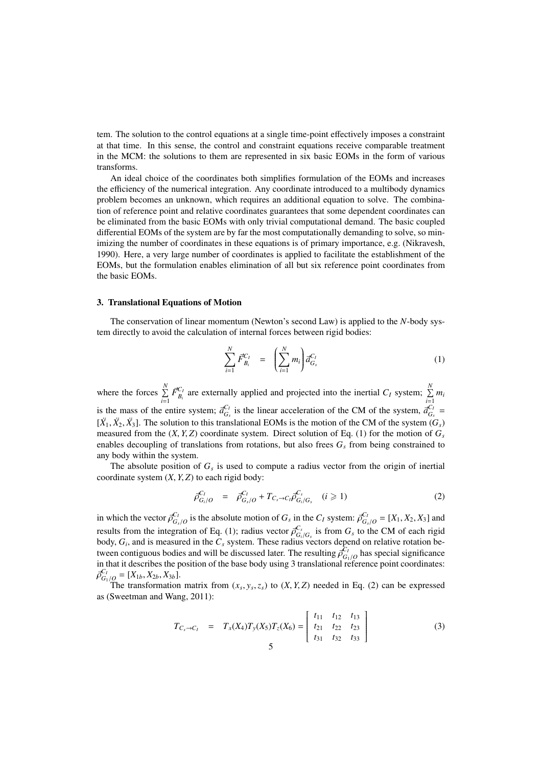tem. The solution to the control equations at a single time-point effectively imposes a constraint at that time. In this sense, the control and constraint equations receive comparable treatment in the MCM: the solutions to them are represented in six basic EOMs in the form of various transforms.

An ideal choice of the coordinates both simplifies formulation of the EOMs and increases the efficiency of the numerical integration. Any coordinate introduced to a multibody dynamics problem becomes an unknown, which requires an additional equation to solve. The combination of reference point and relative coordinates guarantees that some dependent coordinates can be eliminated from the basic EOMs with only trivial computational demand. The basic coupled differential EOMs of the system are by far the most computationally demanding to solve, so minimizing the number of coordinates in these equations is of primary importance, e.g. (Nikravesh, 1990). Here, a very large number of coordinates is applied to facilitate the establishment of the EOMs, but the formulation enables elimination of all but six reference point coordinates from the basic EOMs.

# 3. Translational Equations of Motion

The conservation of linear momentum (Newton's second Law) is applied to the *N*-body system directly to avoid the calculation of internal forces between rigid bodies:

$$
\sum_{i=1}^{N} \vec{F}_{B_i}^{C_I} = \left(\sum_{i=1}^{N} m_i\right) \vec{a}_{G_s}^{C_I} \tag{1}
$$

where the forces  $\sum_{n=1}^{N}$  $\sum_{i=1}^{N} \vec{F}_{B_i}^{C_I}$  are externally applied and projected into the inertial *C<sub>I</sub>* system;  $\sum_{i=1}^{N}$  $\sum_{i=1}^{\infty} m_i$ is the mass of the entire system;  $\vec{a}_{G_s}^{C_I}$  is the linear acceleration of the CM of the system,  $\vec{a}_{G_s}^{C_I}$  =  $[\ddot{X}_1, \ddot{X}_2, \ddot{X}_3]$ . The solution to this translational EOMs is the motion of the CM of the system  $(G_s)$ measured from the  $(X, Y, Z)$  coordinate system. Direct solution of Eq. (1) for the motion of  $G<sub>s</sub>$ enables decoupling of translations from rotations, but also frees  $G<sub>s</sub>$  from being constrained to any body within the system.

The absolute position of  $G<sub>s</sub>$  is used to compute a radius vector from the origin of inertial coordinate system  $(X, Y, Z)$  to each rigid body:

$$
\vec{\rho}_{G_i/O}^{C_I} = \vec{\rho}_{G_s/O}^{C_I} + T_{C_s \to C_I} \vec{\rho}_{G_i/G_s}^{C_s} \quad (i \ge 1)
$$
\n(2)

in which the vector  $\overline{\rho}_{G_s/O}^{C_I}$  is the absolute motion of  $G_s$  in the  $C_I$  system:  $\overline{\rho}_{G_s/O}^{C_I} = [X_1, X_2, X_3]$  and results from the integration of Eq. (1); radius vector  $\overline{\beta}_{G_i/G_s}^{C_s}$  is from  $G_s$  to the CM of each rigid body, *G<sup>i</sup>* , and is measured in the *C<sup>s</sup>* system. These radius vectors depend on relative rotation between contiguous bodies and will be discussed later. The resulting  $\bar{\rho}^{C_I}_{G_I/O}$  has special significance in that it describes the position of the base body using 3 translational reference point coordinates:  $\vec{\rho}_{G_1/O}^{C_I} = [X_{1b}, X_{2b}, X_{3b}].$ 

The transformation matrix from  $(x_s, y_s, z_s)$  to  $(X, Y, Z)$  needed in Eq. (2) can be expressed as (Sweetman and Wang, 2011):

$$
T_{C_s \to C_I} = T_x(X_4)T_y(X_5)T_z(X_6) = \begin{bmatrix} t_{11} & t_{12} & t_{13} \\ t_{21} & t_{22} & t_{23} \\ t_{31} & t_{32} & t_{33} \end{bmatrix}
$$
(3)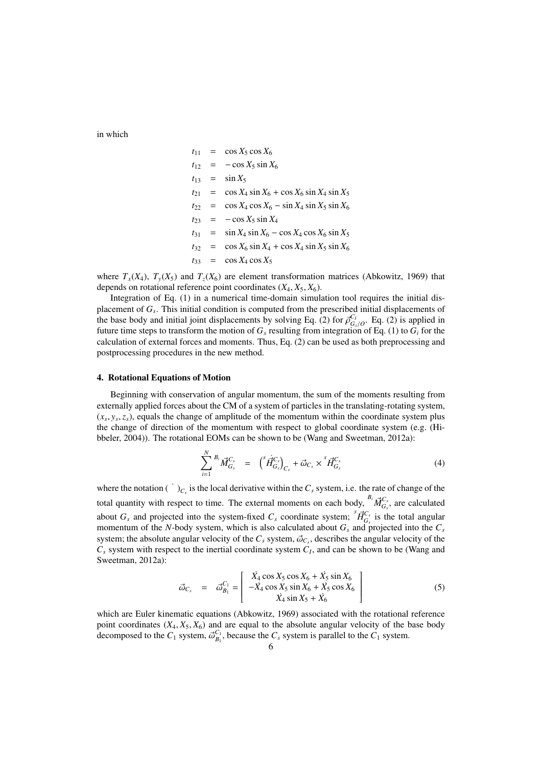in which

$$
t_{11} = \cos X_5 \cos X_6
$$
  
\n
$$
t_{12} = -\cos X_5 \sin X_6
$$
  
\n
$$
t_{13} = \sin X_5
$$
  
\n
$$
t_{21} = \cos X_4 \sin X_6 + \cos X_6 \sin X_4 \sin X_5
$$
  
\n
$$
t_{22} = \cos X_4 \cos X_6 - \sin X_4 \sin X_5 \sin X_6
$$
  
\n
$$
t_{23} = -\cos X_5 \sin X_4
$$
  
\n
$$
t_{31} = \sin X_4 \sin X_6 - \cos X_4 \cos X_6 \sin X_5
$$
  
\n
$$
t_{32} = \cos X_6 \sin X_4 + \cos X_4 \sin X_5 \sin X_6
$$
  
\n
$$
t_{33} = \cos X_4 \cos X_5
$$

where  $T_x(X_4)$ ,  $T_y(X_5)$  and  $T_z(X_6)$  are element transformation matrices (Abkowitz, 1969) that depends on rotational reference point coordinates  $(X_4, X_5, X_6)$ .

Integration of Eq. (1) in a numerical time-domain simulation tool requires the initial displacement of *G<sup>s</sup>* . This initial condition is computed from the prescribed initial displacements of the base body and initial joint displacements by solving Eq. (2) for  $\bar{\rho}^{C_I}_{G_s/O}$ . Eq. (2) is applied in future time steps to transform the motion of  $G_s$  resulting from integration of Eq. (1) to  $G_i$  for the calculation of external forces and moments. Thus, Eq. (2) can be used as both preprocessing and postprocessing procedures in the new method.

#### 4. Rotational Equations of Motion

Beginning with conservation of angular momentum, the sum of the moments resulting from externally applied forces about the CM of a system of particles in the translating-rotating system,  $(x_s, y_s, z_s)$ , equals the change of amplitude of the momentum within the coordinate system plus the change of direction of the momentum with respect to global coordinate system (e.g. (Hibbeler, 2004)). The rotational EOMs can be shown to be (Wang and Sweetman, 2012a):

$$
\sum_{i=1}^{N} {^{B_i}} \vec{M}_{G_s}^{C_s} = {^{S_i}} \vec{H}_{G_s}^{C_s} \Big)_{C_s} + \vec{\omega}_{C_s} \times {^{S_i}} \vec{H}_{G_s}^{C_s}
$$
\n(4)

where the notation  $(\cdot)_{C_s}$  is the local derivative within the  $C_s$  system, i.e. the rate of change of the total quantity with respect to time. The external moments on each body,  ${}^{B_i} \vec{M}_{G_s}^{C_s}$ , are calculated about  $G_s$  and projected into the system-fixed  $C_s$  coordinate system;  ${}^s \vec{H}^{C_s}_{G_s}$  is the total angular momentum of the *N*-body system, which is also calculated about  $G_s$  and projected into the  $C_s$ system; the absolute angular velocity of the  $C_s$  system,  $\vec{\omega}_{C_s}$ , describes the angular velocity of the  $C_s$  system with respect to the inertial coordinate system  $C_I$ , and can be shown to be (Wang and Sweetman, 2012a):

$$
\vec{\omega}_{C_s} = \vec{\omega}_{B_1}^{C_1} = \begin{bmatrix} \dot{X}_4 \cos X_5 \cos X_6 + \dot{X}_5 \sin X_6\\ -\dot{X}_4 \cos X_5 \sin X_6 + \dot{X}_5 \cos X_6\\ \dot{X}_4 \sin X_5 + \dot{X}_6 \end{bmatrix}
$$
(5)

which are Euler kinematic equations (Abkowitz, 1969) associated with the rotational reference point coordinates  $(X_4, X_5, X_6)$  and are equal to the absolute angular velocity of the base body decomposed to the  $C_1$  system,  $\vec{\omega}_{B_1}^{C_1}$ , because the  $C_s$  system is parallel to the  $C_1$  system.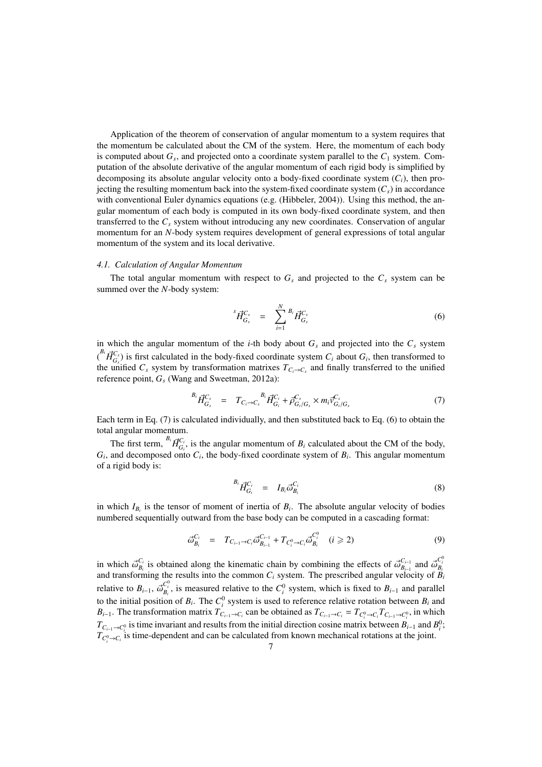Application of the theorem of conservation of angular momentum to a system requires that the momentum be calculated about the CM of the system. Here, the momentum of each body is computed about *G<sup>s</sup>* , and projected onto a coordinate system parallel to the *C*<sup>1</sup> system. Computation of the absolute derivative of the angular momentum of each rigid body is simplified by decomposing its absolute angular velocity onto a body-fixed coordinate system  $(C_i)$ , then projecting the resulting momentum back into the system-fixed coordinate system  $(C<sub>s</sub>)$  in accordance with conventional Euler dynamics equations (e.g. (Hibbeler, 2004)). Using this method, the angular momentum of each body is computed in its own body-fixed coordinate system, and then transferred to the *C<sup>s</sup>* system without introducing any new coordinates. Conservation of angular momentum for an *N*-body system requires development of general expressions of total angular momentum of the system and its local derivative.

#### *4.1. Calculation of Angular Momentum*

The total angular momentum with respect to  $G<sub>s</sub>$  and projected to the  $C<sub>s</sub>$  system can be summed over the *N*-body system:

$$
{}^{s}\vec{H}^{C_{s}}_{G_{s}} = \sum_{i=1}^{N} {}^{B_{i}}\vec{H}^{C_{s}}_{G_{s}}
$$
(6)

in which the angular momentum of the *i*-th body about  $G<sub>s</sub>$  and projected into the  $C<sub>s</sub>$  system  $\int_{G_s}^{B_i} \vec{H}_{G_s}^{C_s}$  is first calculated in the body-fixed coordinate system  $C_i$  about  $G_i$ , then transformed to the unified  $C_s$  system by transformation matrixes  $T_{C_i \to C_s}$  and finally transferred to the unified reference point, *G<sup>s</sup>* (Wang and Sweetman, 2012a):

$$
{}^{B_i} \vec{H}^{C_s}_{G_s} = T_{C_i \to C_s} {}^{B_i} \vec{H}^{C_i}_{G_i} + \vec{\rho}^{C_s}_{G_i/G_s} \times m_i \vec{v}^{C_s}_{G_i/G_s}
$$
(7)

Each term in Eq. (7) is calculated individually, and then substituted back to Eq. (6) to obtain the total angular momentum.

The first term,  ${}^{B_i} \vec{H}_{G_i}^{C_i}$ , is the angular momentum of  $B_i$  calculated about the CM of the body,  $G_i$ , and decomposed onto  $C_i$ , the body-fixed coordinate system of  $B_i$ . This angular momentum of a rigid body is:

$$
B_i \vec{H}_{G_i}^{C_i} = I_{B_i} \vec{\omega}_{B_i}^{C_i} \tag{8}
$$

in which  $I_{B_i}$  is the tensor of moment of inertia of  $B_i$ . The absolute angular velocity of bodies numbered sequentially outward from the base body can be computed in a cascading format:

$$
\vec{\omega}_{B_i}^{C_i} = T_{C_{i-1} \to C_i} \vec{\omega}_{B_{i-1}}^{C_{i-1}} + T_{C_i^0 \to C_i} \vec{\omega}_{B_i}^{C_i^0} \quad (i \geq 2)
$$
\n(9)

in which  $\vec{\omega}_{B_i}^{C_i}$  is obtained along the kinematic chain by combining the effects of  $\vec{\omega}_{B_{i-1}}^{C_{i-1}}$  and  $\vec{\omega}_{B_i}^{C_i^0}$  and transforming the results into the common  $C_i$  system. The prescribed angular velocity relative to  $B_{i-1}$ ,  $\vec{\omega}_{B_i}^{C_i^0}$ , is measured relative to the  $C_i^0$  system, which is fixed to  $B_{i-1}$  and parallel to the initial position of  $B_i$ . The  $C_i^0$  system is used to reference relative rotation between  $B_i$  and  $B_{i-1}$ . The transformation matrix  $T_{C_{i-1}\to C_i}$  can be obtained as  $T_{C_{i-1}\to C_i} = T_{C_i^0 \to C_i} T_{C_{i-1} \to C_i^0}$ , in which  $T_{C_{i-1}\to C_i^0}$  is time invariant and results from the initial direction cosine matrix between  $B_{i-1}$  and  $B_i^0$ ;  $T_{C_i^0 \to C_i}$  is time-dependent and can be calculated from known mechanical rotations at the joint.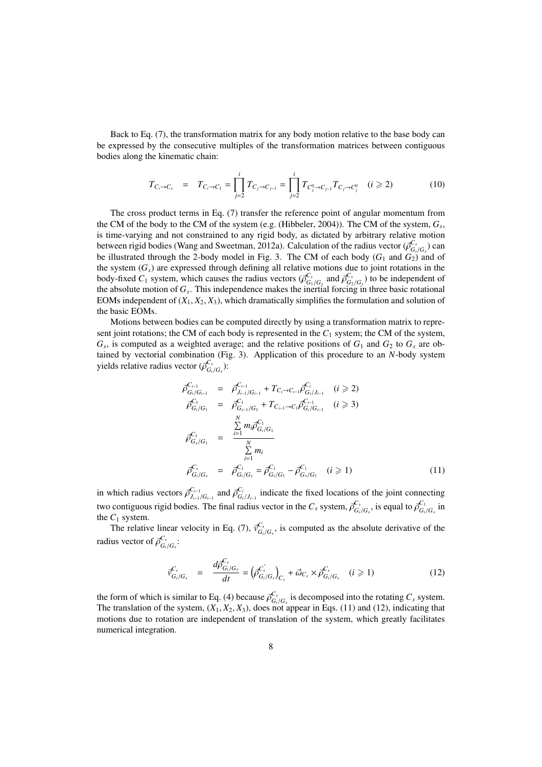Back to Eq. (7), the transformation matrix for any body motion relative to the base body can be expressed by the consecutive multiples of the transformation matrices between contiguous bodies along the kinematic chain:

$$
T_{C_i \to C_s} = T_{C_i \to C_1} = \prod_{j=2}^{i} T_{C_j \to C_{j-1}} = \prod_{j=2}^{i} T_{C_j^0 \to C_{j-1}} T_{C_j \to C_j^0} \quad (i \ge 2)
$$
 (10)

The cross product terms in Eq. (7) transfer the reference point of angular momentum from the CM of the body to the CM of the system (e.g. (Hibbeler, 2004)). The CM of the system, *G<sup>s</sup>* , is time-varying and not constrained to any rigid body, as dictated by arbitrary relative motion between rigid bodies (Wang and Sweetman, 2012a). Calculation of the radius vector  $(\vec{\rho}^{C_s}_{G_i/G_s})$  can be illustrated through the 2-body model in Fig. 3. The CM of each body  $(G_1 \text{ and } G_2)$  and of the system  $(G<sub>s</sub>)$  are expressed through defining all relative motions due to joint rotations in the body-fixed  $C_1$  system, which causes the radius vectors  $(\overline{\rho}_{G_1/G_s}^{C_s}$  and  $\overline{\rho}_{G_2/G_s}^{C_s})$  to be independent of the absolute motion of *G<sup>s</sup>* . This independence makes the inertial forcing in three basic rotational EOMs independent of  $(X_1, X_2, X_3)$ , which dramatically simplifies the formulation and solution of the basic EOMs.

Motions between bodies can be computed directly by using a transformation matrix to represent joint rotations; the CM of each body is represented in the *C*<sup>1</sup> system; the CM of the system,  $G_s$ , is computed as a weighted average; and the relative positions of  $G_1$  and  $G_2$  to  $G_s$  are obtained by vectorial combination (Fig. 3). Application of this procedure to an *N*-body system yields relative radius vector  $(\vec{\rho}^{C_s}_{G_i/G_s})$ :

$$
\vec{\rho}_{G_i/G_{i-1}}^{C_{i-1}} = \vec{\rho}_{J_{i-1}/G_{i-1}}^{C_{i-1}} + T_{C_i \to C_{i-1}} \vec{\rho}_{G_i/J_{i-1}}^{C_i} \quad (i \ge 2)
$$
\n
$$
\vec{\rho}_{G_i/G_1}^{C_1} = \vec{\rho}_{G_{i-1}/G_1}^{C_1} + T_{C_{i-1} \to C_1} \vec{\rho}_{G_i/G_{i-1}}^{C_{i-1}} \quad (i \ge 3)
$$
\n
$$
\vec{\rho}_{G_s/G_1}^{C_1} = \frac{\sum\limits_{i=1}^N m_i \vec{\rho}_{G_i/G_1}^{C_1}}{\sum\limits_{i=1}^N m_i} \vec{\rho}_{G_i/G_s}^{C_1} = \vec{\rho}_{G_i/G_1}^{C_1} - \vec{\rho}_{G_s/G_1}^{C_1} \quad (i \ge 1)
$$
\n(11)

in which radius vectors  $\vec{\rho}_{J_{i-1}/G_{i-1}}^{C_{i-1}}$  and  $\vec{\rho}_{G_i/J_{i-1}}^{C_i}$  indicate the fixed locations of the joint connecting two contiguous rigid bodies. The final radius vector in the  $C_s$  system,  $\vec{\rho}_{G_i/G_s}^{C_s}$ , is equal to  $\vec{\rho}_{G_i/G_s}^{C_1}$  in the  $C_1$  system.

The relative linear velocity in Eq. (7),  $\vec{v}^{\text{C}_s}_{G_i/G_s}$ , is computed as the absolute derivative of the radius vector of  $\vec{\rho}^{C_s}_{G_i/G_s}$ :

$$
\vec{v}_{G_i/G_s}^{C_s} = \frac{d\vec{\rho}_{G_i/G_s}^{C_s}}{dt} = (\vec{\rho}_{G_i/G_s}^{C_s})_{C_s} + \vec{\omega}_{C_s} \times \vec{\rho}_{G_i/G_s}^{C_s} \quad (i \ge 1)
$$
\n(12)

the form of which is similar to Eq. (4) because  $\overline{\rho}_{G_i/G_s}^{C_s}$  is decomposed into the rotating  $C_s$  system. The translation of the system,  $(X_1, X_2, X_3)$ , does not appear in Eqs. (11) and (12), indicating that motions due to rotation are independent of translation of the system, which greatly facilitates numerical integration.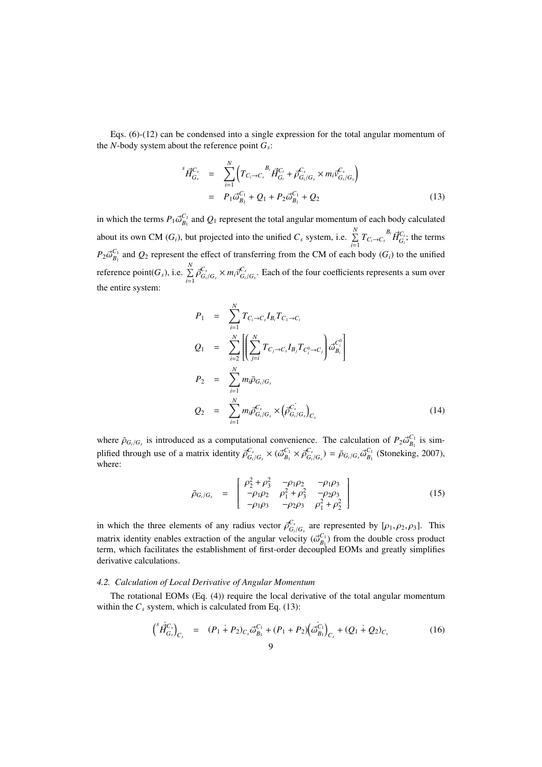Eqs. (6)-(12) can be condensed into a single expression for the total angular momentum of the *N*-body system about the reference point  $G_s$ :

$$
\begin{split} ^{s}\vec{H}_{G_{s}}^{C_{s}} &= \sum_{i=1}^{N} \left( T_{C_{i}\to C_{s}}^{B_{i}} \vec{H}_{G_{i}}^{C_{i}} + \vec{\rho}_{G_{i}/G_{s}}^{C_{s}} \times m_{i} \vec{v}_{G_{i}/G_{s}}^{C_{s}} \right) \\ &= P_{1} \vec{\omega}_{B_{1}}^{C_{1}} + Q_{1} + P_{2} \vec{\omega}_{B_{1}}^{C_{1}} + Q_{2} \end{split} \tag{13}
$$

in which the terms  $P_1 \vec{\omega}_{B_1}^{C_1}$  and  $Q_1$  represent the total angular momentum of each body calculated about its own CM ( $G_i$ ), but projected into the unified  $C_s$  system, i.e.  $\sum_{i=1}^{N}$  $\sum_{i=1}^{N} T_{C_i \to C_s}^{B_i} \vec{H}_{G_i}^{C_i}$ ; the terms  $P_2 \vec{\omega}_{B_1}^{C_1}$  and  $Q_2$  represent the effect of transferring from the CM of each body (*G<sub>i</sub>*) to the unified reference point( $G_s$ ), i.e.  $\sum^N$  $\sum_{i=1}^{n} \bar{\rho}_{G_i/G_s}^{C_s} \times m_i \bar{v}_{G_i/G_s}^{C_s}$ . Each of the four coefficients represents a sum over the entire system:

$$
P_{1} = \sum_{i=1}^{N} T_{C_{i} \to C_{s}} I_{B_{i}} T_{C_{1} \to C_{i}}
$$
\n
$$
Q_{1} = \sum_{i=2}^{N} \left[ \left( \sum_{j=i}^{N} T_{C_{j} \to C_{s}} I_{B_{j}} T_{C_{i}^{0} \to C_{j}} \right) \tilde{\omega}_{B_{i}}^{C_{i}^{0}} \right]
$$
\n
$$
P_{2} = \sum_{i=1}^{N} m_{i} \bar{\rho}_{G_{i}/G_{s}}
$$
\n
$$
Q_{2} = \sum_{i=1}^{N} m_{i} \bar{\rho}_{G_{i}/G_{s}}^{C_{s}} \times (\bar{\rho}_{G_{i}/G_{s}}^{C_{s}})_{C_{s}}
$$
\n
$$
(14)
$$

where  $\bar{\rho}_{G_i/G_s}$  is introduced as a computational convenience. The calculation of  $P_2 \vec{\omega}_{B_1}^{C_1}$  is simplified through use of a matrix identity  $\vec{\rho}^{C_s}_{G_i/G_s} \times (\vec{\omega}^{C_1}_{B_1} \times \vec{\rho}^{C_s}_{G_i/G_s}) = \bar{\rho}_{G_i/G_s} \vec{\omega}^{C_1}_{B_1}$  (Stoneking, 2007), where:

$$
\bar{\rho}_{G_i/G_s} = \begin{bmatrix} \rho_2^2 + \rho_3^2 & -\rho_1 \rho_2 & -\rho_1 \rho_3 \\ -\rho_1 \rho_2 & \rho_1^2 + \rho_3^2 & -\rho_2 \rho_3 \\ -\rho_1 \rho_3 & -\rho_2 \rho_3 & \rho_1^2 + \rho_2^2 \end{bmatrix}
$$
(15)

in which the three elements of any radius vector  $\vec{\rho}^{\text{C}_s}_{G_i/G_s}$  are represented by  $[\rho_1, \rho_2, \rho_3]$ . This matrix identity enables extraction of the angular velocity  $(\vec{\omega}_{B_1}^{C_1})$  from the double cross product term, which facilitates the establishment of first-order decoupled EOMs and greatly simplifies derivative calculations.

# *4.2. Calculation of Local Derivative of Angular Momentum*

The rotational EOMs (Eq. (4)) require the local derivative of the total angular momentum within the  $C_s$  system, which is calculated from Eq. (13):

$$
\left(\begin{array}{cc} \dot{H}_{G_s}^{\dot{C}_s} \end{array}\right)_{C_s} = (P_1 + P_2)_{C_s} \ddot{\omega}_{B_1}^{C_1} + (P_1 + P_2) \left(\dot{\omega}_{B_1}^{\dot{C}_1}\right)_{C_s} + (Q_1 + Q_2)_{C_s} \tag{16}
$$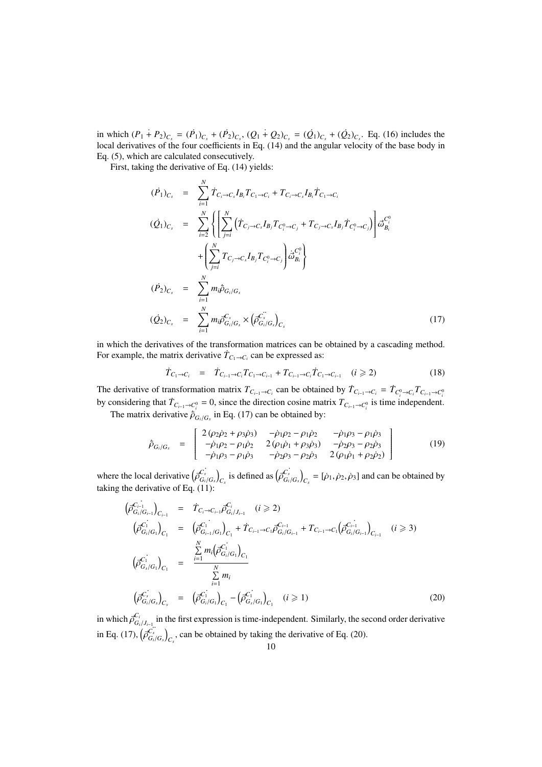in which  $(P_1 + P_2)_{C_s} = (P_1)_{C_s} + (P_2)_{C_s}$ ,  $(Q_1 + Q_2)_{C_s} = (Q_1)_{C_s} + (Q_2)_{C_s}$ . Eq. (16) includes the local derivatives of the four coefficients in Eq. (14) and the angular velocity of the base body in Eq. (5), which are calculated consecutively.

First, taking the derivative of Eq. (14) yields:

$$
(\dot{P}_1)_{C_s} = \sum_{i=1}^{N} \dot{T}_{C_i \to C_s} I_{B_i} T_{C_1 \to C_i} + T_{C_i \to C_s} I_{B_i} \dot{T}_{C_1 \to C_i}
$$
  
\n
$$
(\dot{Q}_1)_{C_s} = \sum_{i=2}^{N} \left\{ \left[ \sum_{j=i}^{N} (\dot{T}_{C_j \to C_s} I_{B_j} T_{C_i^0 \to C_j} + T_{C_j \to C_s} I_{B_j} \dot{T}_{C_i^0 \to C_j}) \right] \dot{\sigma}_{B_i}^{C_i^0} + \left( \sum_{j=i}^{N} T_{C_j \to C_s} I_{B_j} T_{C_i^0 \to C_j} \right) \dot{\sigma}_{B_i}^{C_i^0} \right\}
$$
  
\n
$$
(\dot{P}_2)_{C_s} = \sum_{i=1}^{N} m_i \dot{\bar{\rho}}_{G_i/G_s}
$$
  
\n
$$
(\dot{Q}_2)_{C_s} = \sum_{i=1}^{N} m_i \ddot{\bar{\rho}}_{G_i/G_s}^{C_s} \times (\dot{\bar{\rho}}_{G_i/G_s}^{\dot{C_s}})_{C_s}
$$
  
\n
$$
(17)
$$

in which the derivatives of the transformation matrices can be obtained by a cascading method. For example, the matrix derivative  $\dot{T}_{C_1 \rightarrow C_i}$  can be expressed as:

$$
\dot{T}_{C_1 \to C_i} = \dot{T}_{C_{i-1} \to C_i} T_{C_1 \to C_{i-1}} + T_{C_{i-1} \to C_i} \dot{T}_{C_1 \to C_{i-1}} \quad (i \geq 2)
$$
\n(18)

The derivative of transformation matrix  $T_{C_{i-1}\to C_i}$  can be obtained by  $\dot{T}_{C_{i-1}\to C_i} = \dot{T}_{C_i^0 \to C_i} T_{C_{i-1} \to C_i^0}$ by considering that  $\dot{T}_{C_{i-1}\to C_i^0} = 0$ , since the direction cosine matrix  $T_{C_{i-1}\to C_i^0}$  is time independent.

The matrix derivative  $\dot{p}_{G_i/G_s}$  in Eq. (17) can be obtained by:

$$
\dot{\bar{p}}_{G_i/G_s} = \begin{bmatrix} 2(\rho_2 \dot{\rho}_2 + \rho_3 \dot{\rho}_3) & -\dot{\rho}_1 \rho_2 - \rho_1 \dot{\rho}_2 & -\dot{\rho}_1 \rho_3 - \rho_1 \dot{\rho}_3 \\ -\dot{\rho}_1 \rho_2 - \rho_1 \dot{\rho}_2 & 2(\rho_1 \dot{\rho}_1 + \rho_3 \dot{\rho}_3) & -\dot{\rho}_2 \rho_3 - \rho_2 \dot{\rho}_3 \\ -\dot{\rho}_1 \rho_3 - \rho_1 \dot{\rho}_3 & -\dot{\rho}_2 \rho_3 - \rho_2 \dot{\rho}_3 & 2(\rho_1 \dot{\rho}_1 + \rho_2 \dot{\rho}_2) \end{bmatrix}
$$
(19)

where the local derivative  $(\vec{\rho}_{G_i/G_s}^{C_s})_{C_s}$  is defined as  $(\vec{\rho}_{G_i/G_s}^{C_s})_{C_s} = [\dot{\rho}_1, \dot{\rho}_2, \dot{\rho}_3]$  and can be obtained by taking the derivative of Eq.  $(11)$ :

$$
\begin{array}{rcl}\n\left(\vec{\rho}_{G_i/G_{i-1}}^{C_{i-1}}\right)_{C_{i-1}} & = & \dot{T}_{C_i \to C_{i-1}} \vec{\rho}_{G_i/J_{i-1}}^{C_i} \quad (i \geqslant 2) \\
\left(\vec{\rho}_{G_i/G_1}^{C_1}\right)_{C_1} & = & \left(\vec{\rho}_{G_{i-1}/G_1}^{C_1}\right)_{C_1} + \dot{T}_{C_{i-1} \to C_1} \vec{\rho}_{G_i/G_{i-1}}^{C_{i-1}} + T_{C_{i-1} \to C_1} \left(\vec{\rho}_{G_i/G_{i-1}}^{C_{i-1}}\right)_{C_{i-1}} \quad (i \geqslant 3) \\
\left(\vec{\rho}_{G_s/G_1}^{C_1}\right)_{C_1} & = & \frac{\sum\limits_{i=1}^N m_i \left(\vec{\rho}_{G_i/G_1}^{C_1}\right)_{C_1}}{\sum\limits_{i=1}^N m_i} \\
\left(\vec{\rho}_{G_i/G_s}^{C_s}\right)_{C_s} & = & \left(\vec{\rho}_{G_i/G_1}^{C_1}\right)_{C_1} - \left(\vec{\rho}_{G_s/G_1}^{C_1}\right)_{C_1} \quad (i \geqslant 1)\n\end{array} \tag{20}
$$

in which  $\vec{\rho}^{C_i}_{G_i/J_{i-1}}$  in the first expression is time-independent. Similarly, the second order derivative in Eq. (17),  $(\overline{\beta}^C_{G_i/G_s})_{C_s}$ , can be obtained by taking the derivative of Eq. (20).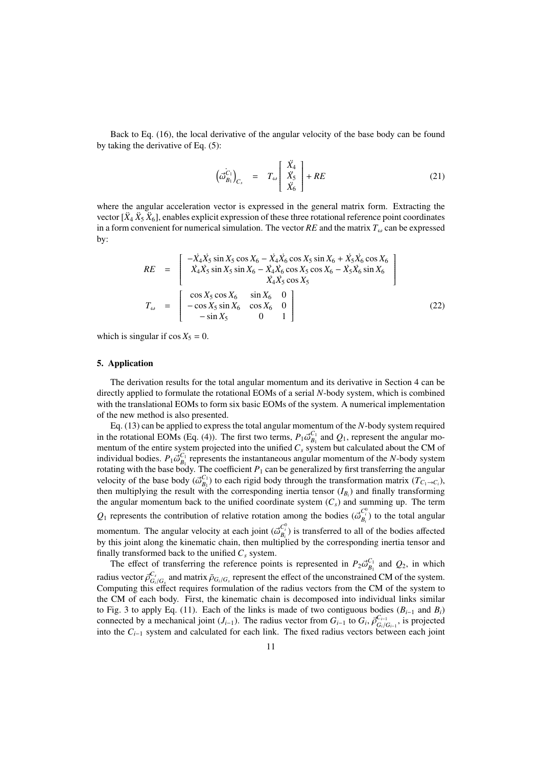Back to Eq. (16), the local derivative of the angular velocity of the base body can be found by taking the derivative of Eq. (5):

$$
\left(\vec{\omega}_{B_1}^{C_1}\right)_{C_s} = T_\omega \left[\begin{array}{c} \ddot{X}_4\\ \ddot{X}_5\\ \ddot{X}_6 \end{array}\right] + RE \tag{21}
$$

where the angular acceleration vector is expressed in the general matrix form. Extracting the vector  $[\ddot{X}_4 \ddot{X}_5 \ddot{X}_6]$ , enables explicit expression of these three rotational reference point coordinates in a form convenient for numerical simulation. The vector  $RE$  and the matrix  $T_{\omega}$  can be expressed by:

$$
RE = \begin{bmatrix} -\dot{X}_4 \dot{X}_5 \sin X_5 \cos X_6 - \dot{X}_4 \dot{X}_6 \cos X_5 \sin X_6 + \dot{X}_5 \dot{X}_6 \cos X_6\\ \dot{X}_4 \dot{X}_5 \sin X_5 \sin X_6 - \dot{X}_4 \dot{X}_6 \cos X_5 \cos X_6 - \dot{X}_5 \dot{X}_6 \sin X_6\\ \dot{X}_4 \dot{X}_5 \cos X_5\\ \dot{X}_4 \dot{X}_5 \cos X_5 \end{bmatrix}
$$
  
\n
$$
T_\omega = \begin{bmatrix} \cos X_5 \cos X_6 & \sin X_6 & 0\\ -\cos X_5 \sin X_6 & \cos X_6 & 0\\ -\sin X_5 & 0 & 1 \end{bmatrix}
$$
 (22)

which is singular if  $\cos X_5 = 0$ .

### 5. Application

The derivation results for the total angular momentum and its derivative in Section 4 can be directly applied to formulate the rotational EOMs of a serial *N*-body system, which is combined with the translational EOMs to form six basic EOMs of the system. A numerical implementation of the new method is also presented.

Eq. (13) can be applied to express the total angular momentum of the *N*-body system required in the rotational EOMs (Eq. (4)). The first two terms,  $P_1 \vec{\omega}_{B_1}^{C_1}$  and  $Q_1$ , represent the angular momentum of the entire system projected into the unified  $C_s$  system but calculated about the CM of individual bodies.  $P_1 \vec{\omega}_{B_1}^{C_1}$  represents the instantaneous angular momentum of the *N*-body system rotating with the base body. The coefficient  $P_1$  can be generalized by first transferring the angular velocity of the base body  $(\vec{\omega}_{B_1}^{C_1})$  to each rigid body through the transformation matrix  $(T_{C_1 \to C_i})$ , then multiplying the result with the corresponding inertia tensor  $(I_{B_i})$  and finally transforming the angular momentum back to the unified coordinate system (*Cs*) and summing up. The term  $Q_1$  represents the contribution of relative rotation among the bodies  $(\vec{\omega}_{B_i}^{C_i^0})$  to the total angular momentum. The angular velocity at each joint  $(\vec{\omega}_{B_i}^{C_i^0})$  is transferred to all of the bodies affected by this joint along the kinematic chain, then multiplied by the corresponding inertia tensor and finally transformed back to the unified  $C_s$  system.

The effect of transferring the reference points is represented in  $P_2 \vec{\omega}_{B_1}^{C_1}$  and  $Q_2$ , in which radius vector  $\vec{\rho}^{C_s}_{G_i/G_s}$  and matrix  $\vec{\rho}_{G_i/G_s}$  represent the effect of the unconstrained CM of the system. Computing this effect requires formulation of the radius vectors from the CM of the system to the CM of each body. First, the kinematic chain is decomposed into individual links similar to Fig. 3 to apply Eq. (11). Each of the links is made of two contiguous bodies ( $B_{i-1}$  and  $B_i$ ) connected by a mechanical joint  $(J_{i-1})$ . The radius vector from  $G_i$ ,  $\overline{G}^{C_{i-1}}_{G_i/G_{i-1}}$ , is projected into the  $C_{i-1}$  system and calculated for each link. The fixed radius vectors between each joint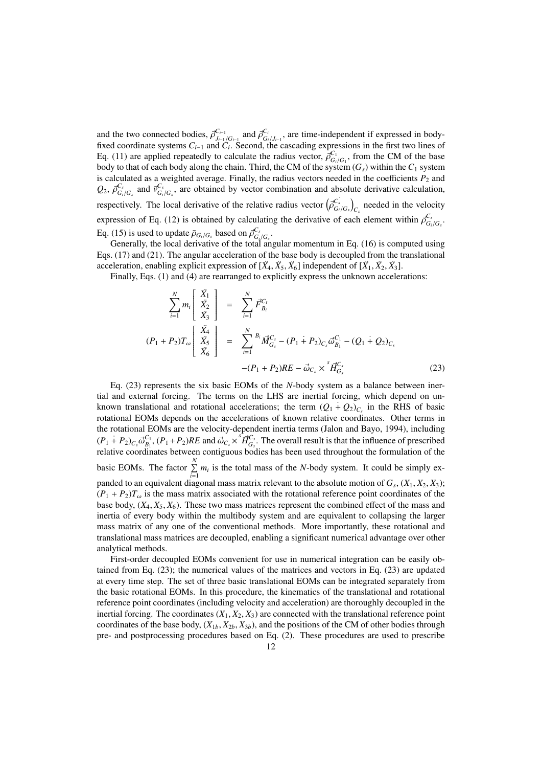and the two connected bodies,  $\bar{\rho}^{C_{i-1}}_{J_{i-1}/G_{i-1}}$  and  $\bar{\rho}^{C_i}_{G_i/J_{i-1}}$ , are time-independent if expressed in bodyfixed coordinate systems  $C_{i-1}$  and  $C_i$ . Second, the cascading expressions in the first two lines of Eq. (11) are applied repeatedly to calculate the radius vector,  $\overline{\rho}_{G_i/G_1}^{C_1}$ , from the CM of the base body to that of each body along the chain. Third, the CM of the system (*Gs*) within the *C*<sup>1</sup> system is calculated as a weighted average. Finally, the radius vectors needed in the coefficients  $P_2$  and  $Q_2$ ,  $\overline{\rho}_{G_i/G_s}^{C_s}$  and  $\overline{\nu}_{G_i/G_s}^{C_s}$ , are obtained by vector combination and absolute derivative calculation, respectively. The local derivative of the relative radius vector  $(\bar{\rho}_{G_i/G_s}^{C_s})_{C_s}$  needed in the velocity expression of Eq. (12) is obtained by calculating the derivative of each element within  $\bar{\rho}^{C_s}_{G_i/G_s}$ . Eq. (15) is used to update  $\bar{\rho}_{G_i/G_s}$  based on  $\bar{\rho}_{G_i/G_s}^{C_s}$ .

Generally, the local derivative of the total angular momentum in Eq. (16) is computed using Eqs. (17) and (21). The angular acceleration of the base body is decoupled from the translational acceleration, enabling explicit expression of  $[\ddot{X}_4, \ddot{X}_5, \ddot{X}_6]$  independent of  $[\ddot{X}_1, \ddot{X}_2, \ddot{X}_3]$ .

Finally, Eqs. (1) and (4) are rearranged to explicitly express the unknown accelerations:

$$
\sum_{i=1}^{N} m_i \begin{bmatrix} \ddot{X}_1 \\ \ddot{X}_2 \\ \ddot{X}_3 \end{bmatrix} = \sum_{i=1}^{N} \vec{F}_{B_i}^{C_I}
$$
\n
$$
(P_1 + P_2)T_{\omega} \begin{bmatrix} \ddot{X}_4 \\ \ddot{X}_5 \\ \ddot{X}_6 \end{bmatrix} = \sum_{i=1}^{N} {^{B_i} \vec{M}_{G_s}^{C_s} - (P_1 + P_2)_{C_s} \vec{\omega}_{B_1}^{C_1} - (Q_1 + Q_2)_{C_s}
$$
\n
$$
-(P_1 + P_2)RE - \vec{\omega}_{C_s} \times {^{S}\vec{H}_{G_s}^{C_s}}
$$
\n(23)

Eq. (23) represents the six basic EOMs of the *N*-body system as a balance between inertial and external forcing. The terms on the LHS are inertial forcing, which depend on unknown translational and rotational accelerations; the term  $(Q_1 + Q_2)_{C_s}$  in the RHS of basic rotational EOMs depends on the accelerations of known relative coordinates. Other terms in the rotational EOMs are the velocity-dependent inertia terms (Jalon and Bayo, 1994), including  $(P_1+P_2)_{C_s} \vec{\omega}_{B_1}^{C_1}$ ,  $(P_1+P_2)RE$  and  $\vec{\omega}_{C_s} \times \vec{\overline{H}}_{G_s}^{C_s}$ . The overall result is that the influence of prescribed relative coordinates between contiguous bodies has been used throughout the formulation of the basic EOMs. The factor  $\sum_{n=1}^{N}$  $\sum_{i=1}^{n} m_i$  is the total mass of the *N*-body system. It could be simply expanded to an equivalent diagonal mass matrix relevant to the absolute motion of *G<sup>s</sup>* , (*X*1, *X*2, *X*3);  $(P_1 + P_2)T_\omega$  is the mass matrix associated with the rotational reference point coordinates of the base body,  $(X_4, X_5, X_6)$ . These two mass matrices represent the combined effect of the mass and inertia of every body within the multibody system and are equivalent to collapsing the larger mass matrix of any one of the conventional methods. More importantly, these rotational and translational mass matrices are decoupled, enabling a significant numerical advantage over other analytical methods.

First-order decoupled EOMs convenient for use in numerical integration can be easily obtained from Eq. (23); the numerical values of the matrices and vectors in Eq. (23) are updated at every time step. The set of three basic translational EOMs can be integrated separately from the basic rotational EOMs. In this procedure, the kinematics of the translational and rotational reference point coordinates (including velocity and acceleration) are thoroughly decoupled in the inertial forcing. The coordinates  $(X_1, X_2, X_3)$  are connected with the translational reference point coordinates of the base body,  $(X_{1b}, X_{2b}, X_{3b})$ , and the positions of the CM of other bodies through pre- and postprocessing procedures based on Eq. (2). These procedures are used to prescribe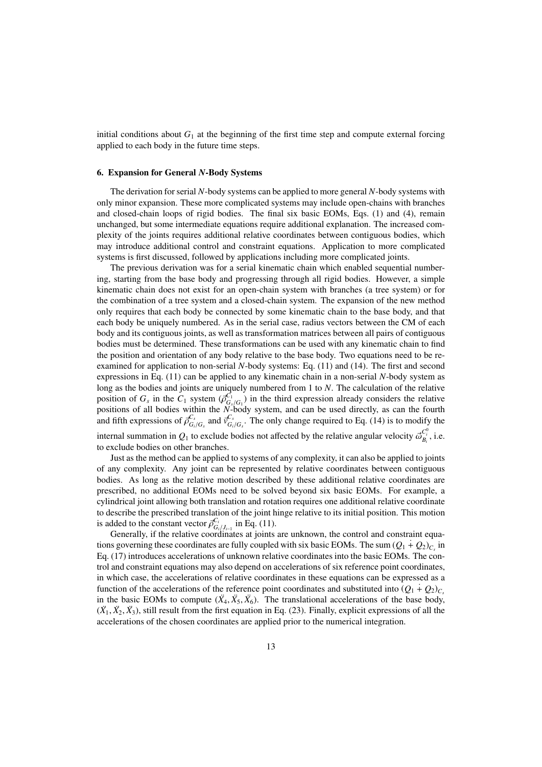initial conditions about  $G_1$  at the beginning of the first time step and compute external forcing applied to each body in the future time steps.

## 6. Expansion for General *N*-Body Systems

The derivation for serial *N*-body systems can be applied to more general *N*-body systems with only minor expansion. These more complicated systems may include open-chains with branches and closed-chain loops of rigid bodies. The final six basic EOMs, Eqs. (1) and (4), remain unchanged, but some intermediate equations require additional explanation. The increased complexity of the joints requires additional relative coordinates between contiguous bodies, which may introduce additional control and constraint equations. Application to more complicated systems is first discussed, followed by applications including more complicated joints.

The previous derivation was for a serial kinematic chain which enabled sequential numbering, starting from the base body and progressing through all rigid bodies. However, a simple kinematic chain does not exist for an open-chain system with branches (a tree system) or for the combination of a tree system and a closed-chain system. The expansion of the new method only requires that each body be connected by some kinematic chain to the base body, and that each body be uniquely numbered. As in the serial case, radius vectors between the CM of each body and its contiguous joints, as well as transformation matrices between all pairs of contiguous bodies must be determined. These transformations can be used with any kinematic chain to find the position and orientation of any body relative to the base body. Two equations need to be reexamined for application to non-serial *N*-body systems: Eq. (11) and (14). The first and second expressions in Eq. (11) can be applied to any kinematic chain in a non-serial *N*-body system as long as the bodies and joints are uniquely numbered from 1 to *N*. The calculation of the relative position of  $G_s$  in the  $C_1$  system  $(\overline{\beta}_{G_s/G_1}^{C_1})$  in the third expression already considers the relative positions of all bodies within the *N*-body system, and can be used directly, as can the fourth and fifth expressions of  $\bar{\rho}^{C_s}_{G_i/G_s}$  and  $\bar{v}^{C_s}_{G_i/G_s}$ . The only change required to Eq. (14) is to modify the

internal summation in  $Q_1$  to exclude bodies not affected by the relative angular velocity  $\vec{\omega}_{B_i}^{C_i^0}$ , i.e. to exclude bodies on other branches.

Just as the method can be applied to systems of any complexity, it can also be applied to joints of any complexity. Any joint can be represented by relative coordinates between contiguous bodies. As long as the relative motion described by these additional relative coordinates are prescribed, no additional EOMs need to be solved beyond six basic EOMs. For example, a cylindrical joint allowing both translation and rotation requires one additional relative coordinate to describe the prescribed translation of the joint hinge relative to its initial position. This motion is added to the constant vector  $\overline{\rho}_{G_i/J_{i-1}}^C$  in Eq. (11).

Generally, if the relative coordinates at joints are unknown, the control and constraint equations governing these coordinates are fully coupled with six basic EOMs. The sum  $(Q_1 + Q_2)_{C_s}$  in Eq. (17) introduces accelerations of unknown relative coordinates into the basic EOMs. The control and constraint equations may also depend on accelerations of six reference point coordinates, in which case, the accelerations of relative coordinates in these equations can be expressed as a function of the accelerations of the reference point coordinates and substituted into  $(Q_1 + Q_2)_{C}$ in the basic EOMs to compute  $(\ddot{X}_4, \ddot{X}_5, \ddot{X}_6)$ . The translational accelerations of the base body,  $(\ddot{X}_1, \ddot{X}_2, \ddot{X}_3)$ , still result from the first equation in Eq. (23). Finally, explicit expressions of all the accelerations of the chosen coordinates are applied prior to the numerical integration.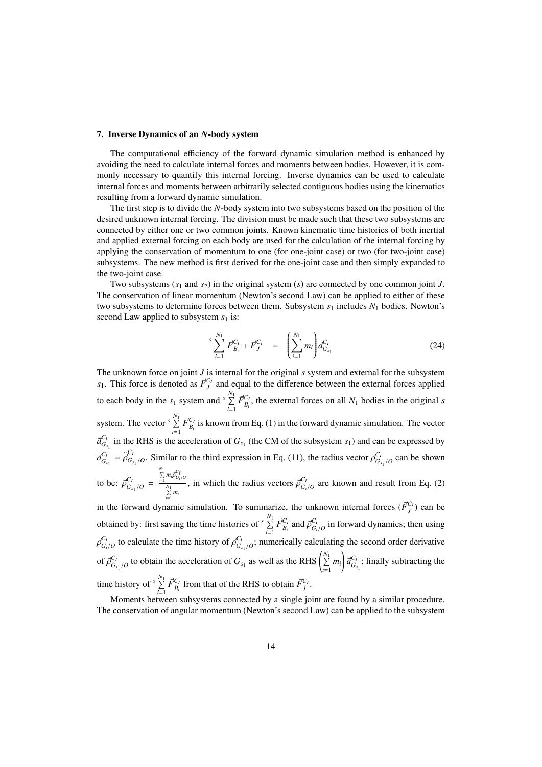#### 7. Inverse Dynamics of an *N*-body system

The computational efficiency of the forward dynamic simulation method is enhanced by avoiding the need to calculate internal forces and moments between bodies. However, it is commonly necessary to quantify this internal forcing. Inverse dynamics can be used to calculate internal forces and moments between arbitrarily selected contiguous bodies using the kinematics resulting from a forward dynamic simulation.

The first step is to divide the *N*-body system into two subsystems based on the position of the desired unknown internal forcing. The division must be made such that these two subsystems are connected by either one or two common joints. Known kinematic time histories of both inertial and applied external forcing on each body are used for the calculation of the internal forcing by applying the conservation of momentum to one (for one-joint case) or two (for two-joint case) subsystems. The new method is first derived for the one-joint case and then simply expanded to the two-joint case.

Two subsystems (*s*<sup>1</sup> and *s*2) in the original system (*s*) are connected by one common joint *J*. The conservation of linear momentum (Newton's second Law) can be applied to either of these two subsystems to determine forces between them. Subsystem *s*<sup>1</sup> includes *N*<sup>1</sup> bodies. Newton's second Law applied to subsystem  $s_1$  is:

$$
\sum_{i=1}^{S} \vec{F}_{B_i}^{C_I} + \vec{F}_J^{C_I} = \left( \sum_{i=1}^{N_1} m_i \right) d_{G_{s_1}}^{C_I}
$$
 (24)

The unknown force on joint *J* is internal for the original *s* system and external for the subsystem  $s_1$ . This force is denoted as  $\vec{F}_j^{C_I}$  and equal to the difference between the external forces applied to each body in the  $s_1$  system and  $s \sum_{n=1}^{N_1} s_n$  $\prod_{i=1}^{N} \vec{F}_{B_i}^{C_I}$ , the external forces on all  $N_1$  bodies in the original *s* system. The vector <sup>*s*</sup>  $\sum_{i=1}^{N_1} \vec{F}_{B_i}^{C_I}$  is known from Eq. (1) in the forward dynamic simulation. The vector *i*=1  $\vec{a}_{G_{s_1}}^{C_I}$  in the RHS is the acceleration of  $G_{s_1}$  (the CM of the subsystem  $s_1$ ) and can be expressed by  $\vec{a}^{C_I}_{G_{s_1}} = \vec{\rho}^{C_I}_{G_{s_1}/O}$ . Similar to the third expression in Eq. (11), the radius vector  $\vec{\rho}^{C_I}_{G_{s_1}/O}$  can be shown to be:  $\vec{\rho}^{C_I}_{G_{s_1}/O}$  =  $\sum_{i=1}^{N_1} m_i \vec{\rho}_{G_i/O}^{C_I}$ *N*∑1 *i*=1 *mi* , in which the radius vectors  $\vec{\rho}^{C_I}_{G_i/O}$  are known and result from Eq. (2) in the forward dynamic simulation. To summarize, the unknown internal forces  $(\vec{F}_J^{C_I})$  can be obtained by: first saving the time histories of  $\binom{N_1}{\sum_{i=1}^{N_1}}$  $\sum_{i=1}^{N} \vec{F}_{B_i}^{C_I}$  and  $\vec{\rho}_{G_i/O}^{C_I}$  in forward dynamics; then using  $\vec{\rho}^{C_I}_{G_i/O}$  to calculate the time history of  $\vec{\rho}^{C_I}_{G_{s_1}/O}$ ; numerically calculating the second order derivative of  $\vec{\rho}^{C_I}_{G_{s_1}/O}$  to obtain the acceleration of  $G_{s_1}$  as well as the RHS  $\left(\sum_{i=1}^{N_1}$  $\sum_{i=1}^{N_1} m_i \frac{dG}{G_{s_1}}$ ; finally subtracting the

time history of  $\int_{0}^{N_1} \sum_{i=1}^{N_1}$  $\sum_{i=1}^{N} \vec{F}_{B_i}^{C_I}$  from that of the RHS to obtain  $\vec{F}_J^{C_I}$ .

Moments between subsystems connected by a single joint are found by a similar procedure. The conservation of angular momentum (Newton's second Law) can be applied to the subsystem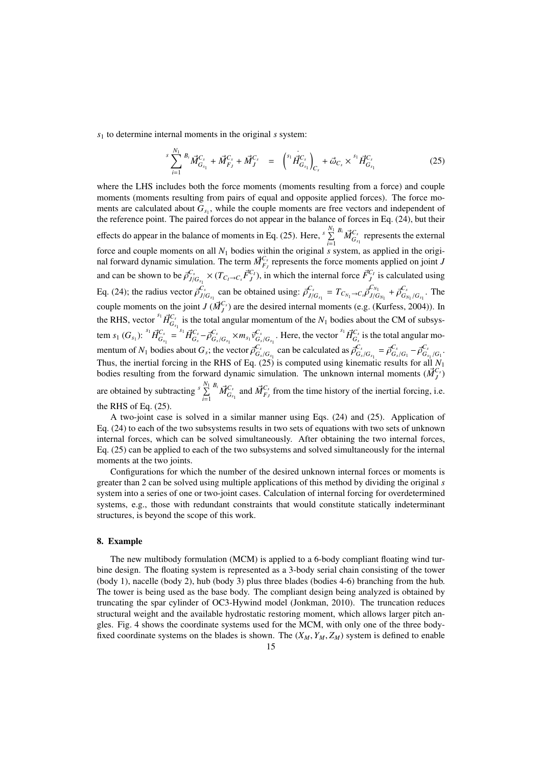*s*<sup>1</sup> to determine internal moments in the original *s* system:

$$
\sum_{i=1}^{s} \overrightarrow{H}_{i} \overrightarrow{M}_{G_{s_{1}}}^{C_{s}} + \overrightarrow{M}_{F_{J}}^{C_{s}} + \overrightarrow{M}_{J}^{C_{s}} = \left(\begin{array}{c} s_{1} \overrightarrow{H}_{G_{s_{1}}}^{C_{s}} \\ \overrightarrow{H}_{G_{s_{1}}}^{C_{s}} \end{array}\right)_{C_{s}} + \overrightarrow{\omega}_{C_{s}} \times \left(\begin{array}{c} s_{1} \overrightarrow{H}_{G_{s_{1}}}^{C_{s}} \\ \overrightarrow{H}_{G_{s_{1}}}^{C_{s}} \end{array}\right) \tag{25}
$$

where the LHS includes both the force moments (moments resulting from a force) and couple moments (moments resulting from pairs of equal and opposite applied forces). The force moments are calculated about  $G_{s_1}$ , while the couple moments are free vectors and independent of the reference point. The paired forces do not appear in the balance of forces in Eq. (24), but their effects do appear in the balance of moments in Eq. (25). Here,  $\frac{N_1}{\sum_{i=1}^{N_1} N_i}$  $\sum_{i=1}^{N_1} \vec{M}_{G_{s_1}}^{C_s}$  represents the external force and couple moments on all *N*<sup>1</sup> bodies within the original *s* system, as applied in the original forward dynamic simulation. The term  $\vec{M}_{F_j}^{C_s}$  represents the force moments applied on joint *J* and can be shown to be  $\vec{\rho}_{J/G_{s_1}}^{C_s} \times (T_{C_I \to C_s} \vec{F}_J^{C_I})$ , in which the internal force  $\vec{F}_J^{C_I}$  is calculated using Eq. (24); the radius vector  $\vec{\rho}_{J/G_{s_1}}^{C_s}$  can be obtained using:  $\vec{\rho}_{J/G_{s_1}}^{C_s} = T_{C_{N_1} \to C_s} \vec{\rho}_{J/G_{N_1}}^{C_{N_1}}$  $\frac{C_{N_1}}{J/G_{N_1}} + \vec{\rho}^{C_s}_{G_I}$  $G_{S_{N_1}/G_{s_1}}$ . The couple moments on the joint *J* ( $\vec{M}^{C_s}_{I}$ ) are the desired internal moments (e.g. (Kurfess, 2004)). In *J* the RHS, vector  $\prod_{i=1}^{s_1} \vec{H}_{G_{s_1}}^{G_s}$  is the total angular momentum of the  $N_1$  bodies about the CM of subsystem  $s_1(G_{s_1})$ :  ${}^{s_1} \vec{H}^{C_s}_{G_{s_1}} = {}^{s_1} \vec{H}^{C_s}_{G_s} - \vec{\rho}^{C_s}_{G_s/G_{s_1}} \times m_{s_1} \vec{v}^{C_s}_{G_s/G_{s_1}}$ . Here, the vector  ${}^{s_1} \vec{H}^{C_s}_{G_s}$  is the total angular momentum of  $N_1$  bodies about  $G_s$ ; the vector  $\vec{\rho}^{C_s}_{G_s/G_{s_1}}$  can be calculated as  $\vec{\rho}^{C_s}_{G_s/G_{s_1}} = \vec{\rho}^{C_s}_{G_s/G_1} - \vec{\rho}^{C_s}_{G_{s_1}/G_1}$ . Thus, the inertial forcing in the RHS of Eq. (25) is computed using kinematic results for all  $N_1$ <br>hodies resulting from the forward dynamic simulation. The unknown internal moments  $(M^{C_s})$ bodies resulting from the forward dynamic simulation. The unknown internal moments  $(\vec{M}_j^{C_s})$ are obtained by subtracting  $\sqrt[s]{\sum_{i=1}^{N_1}}$  $\sum_{i=1}^{N_1} {^{B_i} \vec{M}_{G_{s_1}}^{C_s}}$  and  $\vec{M}_{F_J}^{C_s}$  from the time history of the inertial forcing, i.e. the RHS of Eq. (25).

A two-joint case is solved in a similar manner using Eqs. (24) and (25). Application of Eq. (24) to each of the two subsystems results in two sets of equations with two sets of unknown internal forces, which can be solved simultaneously. After obtaining the two internal forces, Eq. (25) can be applied to each of the two subsystems and solved simultaneously for the internal moments at the two joints.

Configurations for which the number of the desired unknown internal forces or moments is greater than 2 can be solved using multiple applications of this method by dividing the original *s* system into a series of one or two-joint cases. Calculation of internal forcing for overdetermined systems, e.g., those with redundant constraints that would constitute statically indeterminant structures, is beyond the scope of this work.

# 8. Example

The new multibody formulation (MCM) is applied to a 6-body compliant floating wind turbine design. The floating system is represented as a 3-body serial chain consisting of the tower (body 1), nacelle (body 2), hub (body 3) plus three blades (bodies 4-6) branching from the hub. The tower is being used as the base body. The compliant design being analyzed is obtained by truncating the spar cylinder of OC3-Hywind model (Jonkman, 2010). The truncation reduces structural weight and the available hydrostatic restoring moment, which allows larger pitch angles. Fig. 4 shows the coordinate systems used for the MCM, with only one of the three bodyfixed coordinate systems on the blades is shown. The  $(X_M, Y_M, Z_M)$  system is defined to enable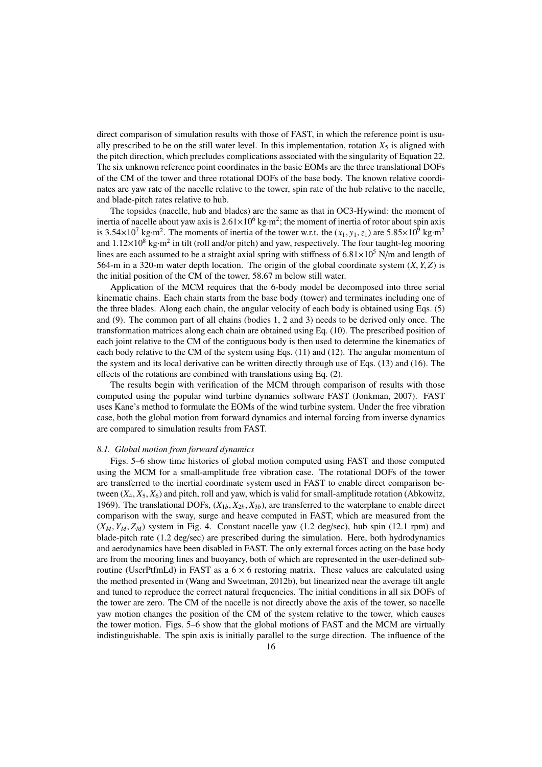direct comparison of simulation results with those of FAST, in which the reference point is usually prescribed to be on the still water level. In this implementation, rotation  $X_5$  is aligned with the pitch direction, which precludes complications associated with the singularity of Equation 22. The six unknown reference point coordinates in the basic EOMs are the three translational DOFs of the CM of the tower and three rotational DOFs of the base body. The known relative coordinates are yaw rate of the nacelle relative to the tower, spin rate of the hub relative to the nacelle, and blade-pitch rates relative to hub.

The topsides (nacelle, hub and blades) are the same as that in OC3-Hywind: the moment of inertia of nacelle about yaw axis is  $2.61 \times 10^6$  kg·m<sup>2</sup>; the moment of inertia of rotor about spin axis is  $3.54 \times 10^7$  kg·m<sup>2</sup>. The moments of inertia of the tower w.r.t. the  $(x_1, y_1, z_1)$  are  $5.85 \times 10^9$  kg·m<sup>2</sup> and  $1.12 \times 10^8$  kg·m<sup>2</sup> in tilt (roll and/or pitch) and yaw, respectively. The four taught-leg mooring lines are each assumed to be a straight axial spring with stiffness of  $6.81 \times 10^5$  N/m and length of 564-m in a 320-m water depth location. The origin of the global coordinate system (*X*, *Y*, *Z*) is the initial position of the CM of the tower, 58.67 m below still water.

Application of the MCM requires that the 6-body model be decomposed into three serial kinematic chains. Each chain starts from the base body (tower) and terminates including one of the three blades. Along each chain, the angular velocity of each body is obtained using Eqs. (5) and (9). The common part of all chains (bodies 1, 2 and 3) needs to be derived only once. The transformation matrices along each chain are obtained using Eq. (10). The prescribed position of each joint relative to the CM of the contiguous body is then used to determine the kinematics of each body relative to the CM of the system using Eqs. (11) and (12). The angular momentum of the system and its local derivative can be written directly through use of Eqs. (13) and (16). The effects of the rotations are combined with translations using Eq. (2).

The results begin with verification of the MCM through comparison of results with those computed using the popular wind turbine dynamics software FAST (Jonkman, 2007). FAST uses Kane's method to formulate the EOMs of the wind turbine system. Under the free vibration case, both the global motion from forward dynamics and internal forcing from inverse dynamics are compared to simulation results from FAST.

#### *8.1. Global motion from forward dynamics*

Figs. 5–6 show time histories of global motion computed using FAST and those computed using the MCM for a small-amplitude free vibration case. The rotational DOFs of the tower are transferred to the inertial coordinate system used in FAST to enable direct comparison between (*X*4, *X*5, *X*6) and pitch, roll and yaw, which is valid for small-amplitude rotation (Abkowitz, 1969). The translational DOFs,  $(X_{1b}, X_{2b}, X_{3b})$ , are transferred to the waterplane to enable direct comparison with the sway, surge and heave computed in FAST, which are measured from the  $(X_M, Y_M, Z_M)$  system in Fig. 4. Constant nacelle yaw (1.2 deg/sec), hub spin (12.1 rpm) and blade-pitch rate (1.2 deg/sec) are prescribed during the simulation. Here, both hydrodynamics and aerodynamics have been disabled in FAST. The only external forces acting on the base body are from the mooring lines and buoyancy, both of which are represented in the user-defined subroutine (UserPtfmLd) in FAST as a  $6 \times 6$  restoring matrix. These values are calculated using the method presented in (Wang and Sweetman, 2012b), but linearized near the average tilt angle and tuned to reproduce the correct natural frequencies. The initial conditions in all six DOFs of the tower are zero. The CM of the nacelle is not directly above the axis of the tower, so nacelle yaw motion changes the position of the CM of the system relative to the tower, which causes the tower motion. Figs. 5–6 show that the global motions of FAST and the MCM are virtually indistinguishable. The spin axis is initially parallel to the surge direction. The influence of the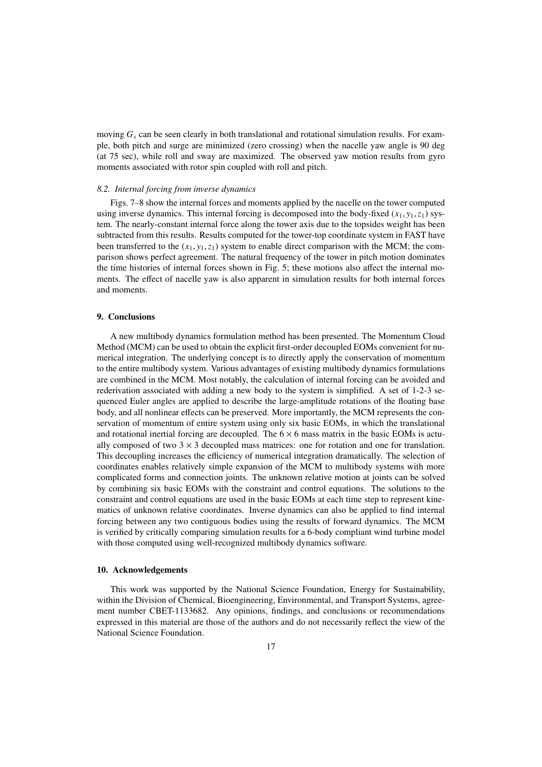moving *G<sup>s</sup>* can be seen clearly in both translational and rotational simulation results. For example, both pitch and surge are minimized (zero crossing) when the nacelle yaw angle is 90 deg (at 75 sec), while roll and sway are maximized. The observed yaw motion results from gyro moments associated with rotor spin coupled with roll and pitch.

# *8.2. Internal forcing from inverse dynamics*

Figs. 7–8 show the internal forces and moments applied by the nacelle on the tower computed using inverse dynamics. This internal forcing is decomposed into the body-fixed  $(x_1, y_1, z_1)$  system. The nearly-constant internal force along the tower axis due to the topsides weight has been subtracted from this results. Results computed for the tower-top coordinate system in FAST have been transferred to the  $(x_1, y_1, z_1)$  system to enable direct comparison with the MCM; the comparison shows perfect agreement. The natural frequency of the tower in pitch motion dominates the time histories of internal forces shown in Fig. 5; these motions also affect the internal moments. The effect of nacelle yaw is also apparent in simulation results for both internal forces and moments.

# 9. Conclusions

A new multibody dynamics formulation method has been presented. The Momentum Cloud Method (MCM) can be used to obtain the explicit first-order decoupled EOMs convenient for numerical integration. The underlying concept is to directly apply the conservation of momentum to the entire multibody system. Various advantages of existing multibody dynamics formulations are combined in the MCM. Most notably, the calculation of internal forcing can be avoided and rederivation associated with adding a new body to the system is simplified. A set of 1-2-3 sequenced Euler angles are applied to describe the large-amplitude rotations of the floating base body, and all nonlinear effects can be preserved. More importantly, the MCM represents the conservation of momentum of entire system using only six basic EOMs, in which the translational and rotational inertial forcing are decoupled. The  $6 \times 6$  mass matrix in the basic EOMs is actually composed of two  $3 \times 3$  decoupled mass matrices: one for rotation and one for translation. This decoupling increases the efficiency of numerical integration dramatically. The selection of coordinates enables relatively simple expansion of the MCM to multibody systems with more complicated forms and connection joints. The unknown relative motion at joints can be solved by combining six basic EOMs with the constraint and control equations. The solutions to the constraint and control equations are used in the basic EOMs at each time step to represent kinematics of unknown relative coordinates. Inverse dynamics can also be applied to find internal forcing between any two contiguous bodies using the results of forward dynamics. The MCM is verified by critically comparing simulation results for a 6-body compliant wind turbine model with those computed using well-recognized multibody dynamics software.

# 10. Acknowledgements

This work was supported by the National Science Foundation, Energy for Sustainability, within the Division of Chemical, Bioengineering, Environmental, and Transport Systems, agreement number CBET-1133682. Any opinions, findings, and conclusions or recommendations expressed in this material are those of the authors and do not necessarily reflect the view of the National Science Foundation.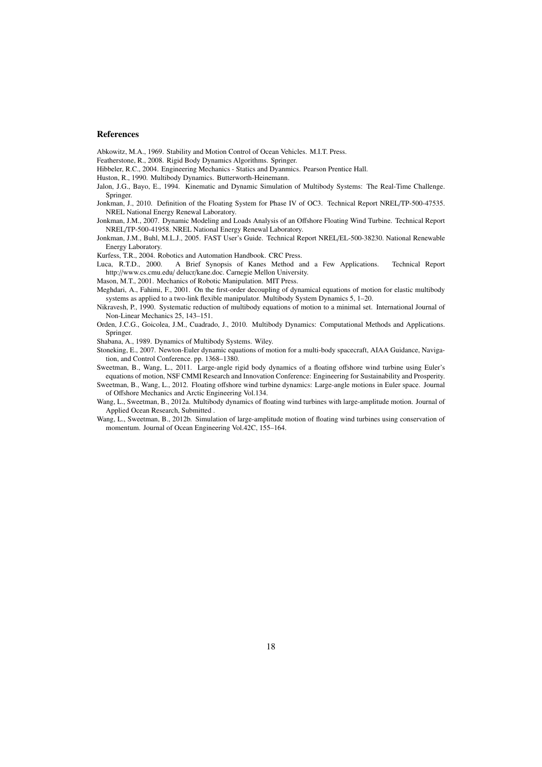# References

Abkowitz, M.A., 1969. Stability and Motion Control of Ocean Vehicles. M.I.T. Press.

Featherstone, R., 2008. Rigid Body Dynamics Algorithms. Springer.

Hibbeler, R.C., 2004. Engineering Mechanics - Statics and Dyanmics. Pearson Prentice Hall.

Huston, R., 1990. Multibody Dynamics. Butterworth-Heinemann.

Jalon, J.G., Bayo, E., 1994. Kinematic and Dynamic Simulation of Multibody Systems: The Real-Time Challenge. Springer.

Jonkman, J., 2010. Definition of the Floating System for Phase IV of OC3. Technical Report NREL/TP-500-47535. NREL National Energy Renewal Laboratory.

Jonkman, J.M., 2007. Dynamic Modeling and Loads Analysis of an Offshore Floating Wind Turbine. Technical Report NREL/TP-500-41958. NREL National Energy Renewal Laboratory.

Jonkman, J.M., Buhl, M.L.J., 2005. FAST User's Guide. Technical Report NREL/EL-500-38230. National Renewable Energy Laboratory.

Kurfess, T.R., 2004. Robotics and Automation Handbook. CRC Press.

A Brief Synopsis of Kanes Method and a Few Applications. Technical Report http://www.cs.cmu.edu/ delucr/kane.doc. Carnegie Mellon University.

Mason, M.T., 2001. Mechanics of Robotic Manipulation. MIT Press.

Meghdari, A., Fahimi, F., 2001. On the first-order decoupling of dynamical equations of motion for elastic multibody systems as applied to a two-link flexible manipulator. Multibody System Dynamics 5, 1–20.

Nikravesh, P., 1990. Systematic reduction of multibody equations of motion to a minimal set. International Journal of Non-Linear Mechanics 25, 143–151.

Orden, J.C.G., Goicolea, J.M., Cuadrado, J., 2010. Multibody Dynamics: Computational Methods and Applications. Springer.

Shabana, A., 1989. Dynamics of Multibody Systems. Wiley.

Stoneking, E., 2007. Newton-Euler dynamic equations of motion for a multi-body spacecraft, AIAA Guidance, Navigation, and Control Conference. pp. 1368–1380.

Sweetman, B., Wang, L., 2011. Large-angle rigid body dynamics of a floating offshore wind turbine using Euler's equations of motion, NSF CMMI Research and Innovation Conference: Engineering for Sustainability and Prosperity.

Sweetman, B., Wang, L., 2012. Floating offshore wind turbine dynamics: Large-angle motions in Euler space. Journal of Offshore Mechanics and Arctic Engineering Vol.134.

Wang, L., Sweetman, B., 2012a. Multibody dynamics of floating wind turbines with large-amplitude motion. Journal of Applied Ocean Research, Submitted .

Wang, L., Sweetman, B., 2012b. Simulation of large-amplitude motion of floating wind turbines using conservation of momentum. Journal of Ocean Engineering Vol.42C, 155–164.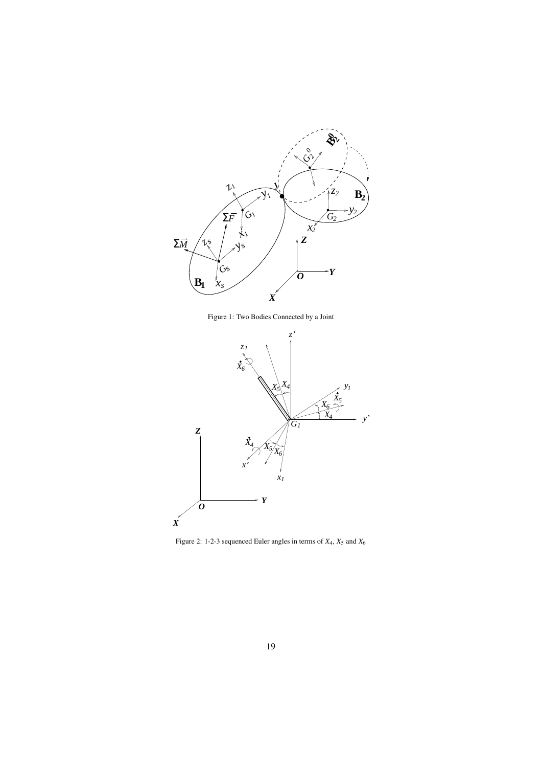

Figure 1: Two Bodies Connected by a Joint



Figure 2: 1-2-3 sequenced Euler angles in terms of  $X_4$ ,  $X_5$  and  $X_6$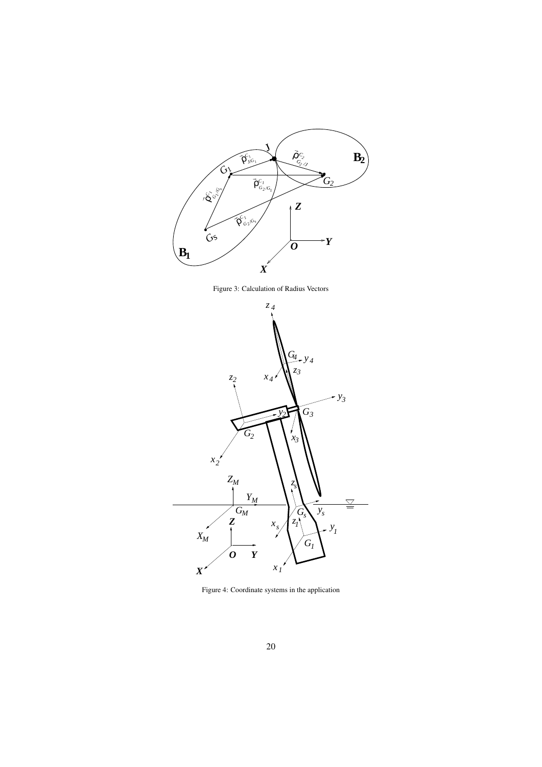

Figure 3: Calculation of Radius Vectors



Figure 4: Coordinate systems in the application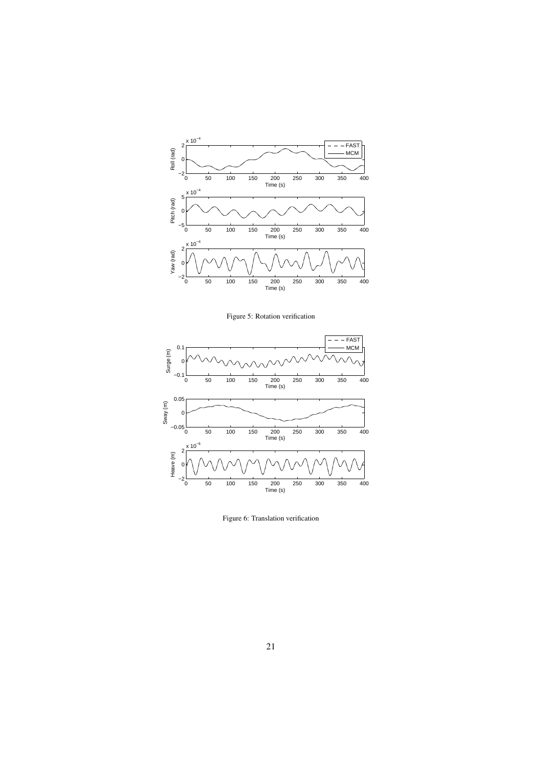

Figure 5: Rotation verification



Figure 6: Translation verification